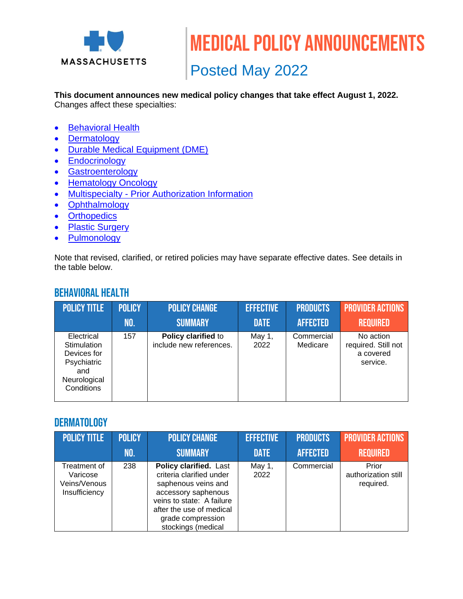

Medical policy announcements

Posted May 2022

**This document announces new medical policy changes that take effect August 1, 2022.** Changes affect these specialties:

- [Behavioral Health](#page-0-0)
- [Dermatology](#page-0-1)
- [Durable Medical Equipment \(DME\)](#page-1-0)
- **[Endocrinology](#page-1-1)**
- [Gastroenterology](#page-2-0)
- [Hematology](#page-2-1) Oncology
- Multispecialty [Prior Authorization Information](#page-2-2)
- [Ophthalmology](#page-3-0)
- [Orthopedics](#page-3-1)
- [Plastic Surgery](#page-4-0)
- [Pulmonology](#page-4-1)

Note that revised, clarified, or retired policies may have separate effective dates. See details in the table below.

## <span id="page-0-0"></span>Behavioral Health

| <b>POLICY TITLE</b>                                                                          | <b>POLICY</b> | <b>POLICY CHANGE</b>                           | <b>EFFECTIVE</b> | <b>PRODUCTS</b>        | <b>PROVIDER ACTIONS</b>                                   |
|----------------------------------------------------------------------------------------------|---------------|------------------------------------------------|------------------|------------------------|-----------------------------------------------------------|
|                                                                                              | NO.           | <b>SUMMARY</b>                                 | <b>DATE</b>      | <b>AFFECTED</b>        | <b>REQUIRED</b>                                           |
| Electrical<br>Stimulation<br>Devices for<br>Psychiatric<br>and<br>Neurological<br>Conditions | 157           | Policy clarified to<br>include new references. | May 1,<br>2022   | Commercial<br>Medicare | No action<br>required. Still not<br>a covered<br>service. |

#### <span id="page-0-1"></span>**DERMATOLOGY**

| <b>POLICY TITLE</b>                                       | <b>POLICY</b> | <b>POLICY CHANGE</b>                                                                                                                                                                                 | <b>EFFECTIVE</b> | <b>PRODUCTS</b> | <b>PROVIDER ACTIONS</b>                   |
|-----------------------------------------------------------|---------------|------------------------------------------------------------------------------------------------------------------------------------------------------------------------------------------------------|------------------|-----------------|-------------------------------------------|
|                                                           | NO.           | <b>SUMMARY</b>                                                                                                                                                                                       | <b>DATE</b>      | <b>AFFECTED</b> | <b>REQUIRED</b>                           |
| Treatment of<br>Varicose<br>Veins/Venous<br>Insufficiency | 238           | Policy clarified. Last<br>criteria clarified under<br>saphenous veins and<br>accessory saphenous<br>veins to state: A failure<br>after the use of medical<br>grade compression<br>stockings (medical | May 1,<br>2022   | Commercial      | Prior<br>authorization still<br>required. |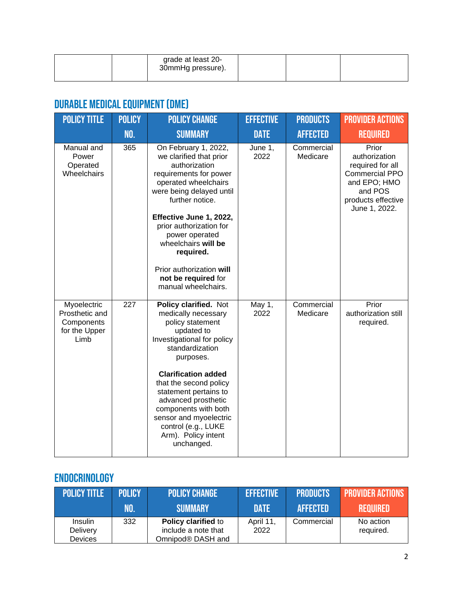| grade at least 20-<br>30mmHg pressure). |  |  |
|-----------------------------------------|--|--|
|                                         |  |  |

# <span id="page-1-0"></span>Durable Medical Equipment (DME)

| <b>POLICY TITLE</b>                                                  | <b>POLICY</b> | <b>POLICY CHANGE</b>                                                                                                                                                                                               | <b>EFFECTIVE</b> | <b>PRODUCTS</b>        | <b>PROVIDER ACTIONS</b>                                                                                                               |
|----------------------------------------------------------------------|---------------|--------------------------------------------------------------------------------------------------------------------------------------------------------------------------------------------------------------------|------------------|------------------------|---------------------------------------------------------------------------------------------------------------------------------------|
|                                                                      | NO.           | <b>SUMMARY</b>                                                                                                                                                                                                     | <b>DATE</b>      | <b>AFFECTED</b>        | <b>REQUIRED</b>                                                                                                                       |
| Manual and<br>Power<br>Operated<br>Wheelchairs                       | 365           | On February 1, 2022,<br>we clarified that prior<br>authorization<br>requirements for power<br>operated wheelchairs<br>were being delayed until<br>further notice.<br>Effective June 1, 2022,                       | June 1,<br>2022  | Commercial<br>Medicare | Prior<br>authorization<br>required for all<br><b>Commercial PPO</b><br>and EPO; HMO<br>and POS<br>products effective<br>June 1, 2022. |
|                                                                      |               | prior authorization for<br>power operated<br>wheelchairs will be<br>required.                                                                                                                                      |                  |                        |                                                                                                                                       |
|                                                                      |               | Prior authorization will<br>not be required for<br>manual wheelchairs.                                                                                                                                             |                  |                        |                                                                                                                                       |
| Myoelectric<br>Prosthetic and<br>Components<br>for the Upper<br>Limb | 227           | Policy clarified. Not<br>medically necessary<br>policy statement<br>updated to<br>Investigational for policy<br>standardization<br>purposes.                                                                       | May 1,<br>2022   | Commercial<br>Medicare | Prior<br>authorization still<br>required.                                                                                             |
|                                                                      |               | <b>Clarification added</b><br>that the second policy<br>statement pertains to<br>advanced prosthetic<br>components with both<br>sensor and myoelectric<br>control (e.g., LUKE<br>Arm). Policy intent<br>unchanged. |                  |                        |                                                                                                                                       |

# <span id="page-1-1"></span>Endocrinology

| <b>POLICY TITLE</b>            | <b>POLICY</b> | <b>POLICY CHANGE</b>                                            | <b>EFFECTIVE</b>  | <b>PRODUCTS</b> | <b>PROVIDER ACTIONS</b> |
|--------------------------------|---------------|-----------------------------------------------------------------|-------------------|-----------------|-------------------------|
|                                | NO.           | <b>SUMMARY</b>                                                  | <b>DATE</b>       | <b>AFFECTED</b> | <b>REQUIRED</b>         |
| Insulin<br>Delivery<br>Devices | 332           | Policy clarified to<br>include a note that<br>Omnipod® DASH and | April 11,<br>2022 | Commercial      | No action<br>required.  |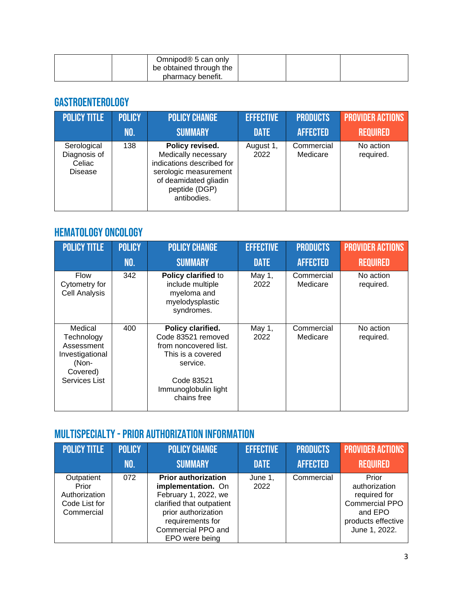| Omnipod® 5 can only     |  |  |
|-------------------------|--|--|
| be obtained through the |  |  |
| pharmacy benefit.       |  |  |

## <span id="page-2-0"></span>Gastroenterology

| <b>POLICY TITLE</b>                              | <b>POLICY</b> | <b>POLICY CHANGE</b>                                                                                                                                  | <b>EFFECTIVE</b>  | <b>PRODUCTS</b>        | <b>PROVIDER ACTIONS</b> |
|--------------------------------------------------|---------------|-------------------------------------------------------------------------------------------------------------------------------------------------------|-------------------|------------------------|-------------------------|
|                                                  | NO.           | <b>SUMMARY</b>                                                                                                                                        | <b>DATE</b>       | <b>AFFECTED</b>        | <b>REQUIRED</b>         |
| Serological<br>Diagnosis of<br>Celiac<br>Disease | 138           | Policy revised.<br>Medically necessary<br>indications described for<br>serologic measurement<br>of deamidated gliadin<br>peptide (DGP)<br>antibodies. | August 1,<br>2022 | Commercial<br>Medicare | No action<br>required.  |

## <span id="page-2-1"></span>Hematology Oncology

| <b>POLICY TITLE</b>                                                                          | <b>POLICY</b><br><b>NO.</b> | <b>POLICY CHANGE</b><br><b>SUMMARY</b>                                                                                                                 | <b>EFFECTIVE</b><br><b>DATE</b> | <b>PRODUCTS</b><br><b>AFFECTED</b> | <b>PROVIDER ACTIONS</b><br><b>REQUIRED</b> |
|----------------------------------------------------------------------------------------------|-----------------------------|--------------------------------------------------------------------------------------------------------------------------------------------------------|---------------------------------|------------------------------------|--------------------------------------------|
| <b>Flow</b><br>Cytometry for<br><b>Cell Analysis</b>                                         | 342                         | Policy clarified to<br>include multiple<br>myeloma and<br>myelodysplastic<br>syndromes.                                                                | May 1,<br>2022                  | Commercial<br>Medicare             | No action<br>required.                     |
| Medical<br>Technology<br>Assessment<br>Investigational<br>(Non-<br>Covered)<br>Services List | 400                         | Policy clarified.<br>Code 83521 removed<br>from noncovered list.<br>This is a covered<br>service.<br>Code 83521<br>Immunoglobulin light<br>chains free | May 1,<br>2022                  | Commercial<br>Medicare             | No action<br>required.                     |

## <span id="page-2-2"></span>Multispecialty -Prior Authorization Information

| <b>POLICY TITLE</b>                                                 | <b>POLICY</b> | <b>POLICY CHANGE</b>                                                                                                                                                                     | <b>EFFECTIVE</b> | <b>PRODUCTS</b> | <b>PROVIDER ACTIONS</b>                                                                                           |
|---------------------------------------------------------------------|---------------|------------------------------------------------------------------------------------------------------------------------------------------------------------------------------------------|------------------|-----------------|-------------------------------------------------------------------------------------------------------------------|
|                                                                     | NO.           | <b>SUMMARY</b>                                                                                                                                                                           | <b>DATE</b>      | <b>AFFECTED</b> | <b>REQUIRED</b>                                                                                                   |
| Outpatient<br>Prior<br>Authorization<br>Code List for<br>Commercial | 072           | <b>Prior authorization</b><br>implementation. On<br>February 1, 2022, we<br>clarified that outpatient<br>prior authorization<br>requirements for<br>Commercial PPO and<br>EPO were being | June 1,<br>2022  | Commercial      | Prior<br>authorization<br>required for<br><b>Commercial PPO</b><br>and EPO<br>products effective<br>June 1, 2022. |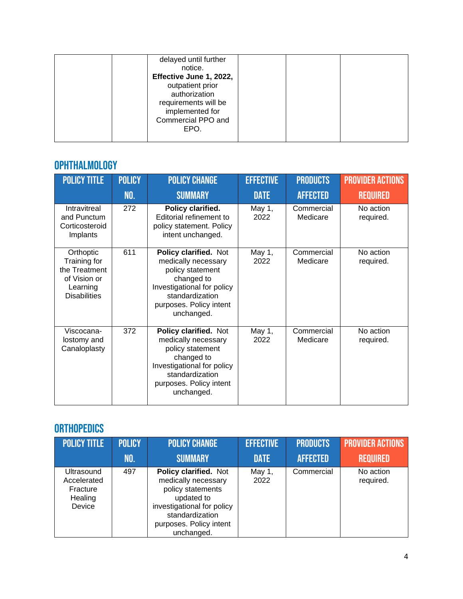## <span id="page-3-0"></span>Ophthalmology

| <b>POLICY TITLE</b>                                                                           | <b>POLICY</b> | <b>POLICY CHANGE</b>                                                                                                                                                     | <b>EFFECTIVE</b> | <b>PRODUCTS</b>        | <b>PROVIDER ACTIONS</b> |
|-----------------------------------------------------------------------------------------------|---------------|--------------------------------------------------------------------------------------------------------------------------------------------------------------------------|------------------|------------------------|-------------------------|
|                                                                                               | NO.           | <b>SUMMARY</b>                                                                                                                                                           | <b>DATE</b>      | <b>AFFECTED</b>        | <b>REQUIRED</b>         |
| Intravitreal<br>and Punctum<br>Corticosteroid<br>Implants                                     | 272           | Policy clarified.<br>Editorial refinement to<br>policy statement. Policy<br>intent unchanged.                                                                            | May 1,<br>2022   | Commercial<br>Medicare | No action<br>required.  |
| Orthoptic<br>Training for<br>the Treatment<br>of Vision or<br>Learning<br><b>Disabilities</b> | 611           | Policy clarified. Not<br>medically necessary<br>policy statement<br>changed to<br>Investigational for policy<br>standardization<br>purposes. Policy intent<br>unchanged. | May 1,<br>2022   | Commercial<br>Medicare | No action<br>required.  |
| Viscocana-<br>lostomy and<br>Canaloplasty                                                     | 372           | Policy clarified. Not<br>medically necessary<br>policy statement<br>changed to<br>Investigational for policy<br>standardization<br>purposes. Policy intent<br>unchanged. | May 1,<br>2022   | Commercial<br>Medicare | No action<br>required.  |

## <span id="page-3-1"></span>**ORTHOPEDICS**

| <b>POLICY TITLE</b>                                        | <b>POLICY</b> | <b>POLICY CHANGE</b>                                                                                                                                                      | <b>EFFECTIVE</b> | <b>PRODUCTS</b> | <b>PROVIDER ACTIONS</b> |
|------------------------------------------------------------|---------------|---------------------------------------------------------------------------------------------------------------------------------------------------------------------------|------------------|-----------------|-------------------------|
|                                                            | NO.           | <b>SUMMARY</b>                                                                                                                                                            | <b>DATE</b>      | <b>AFFECTED</b> | <b>REQUIRED</b>         |
| Ultrasound<br>Accelerated<br>Fracture<br>Healing<br>Device | 497           | Policy clarified. Not<br>medically necessary<br>policy statements<br>updated to<br>investigational for policy<br>standardization<br>purposes. Policy intent<br>unchanged. | May 1,<br>2022   | Commercial      | No action<br>required.  |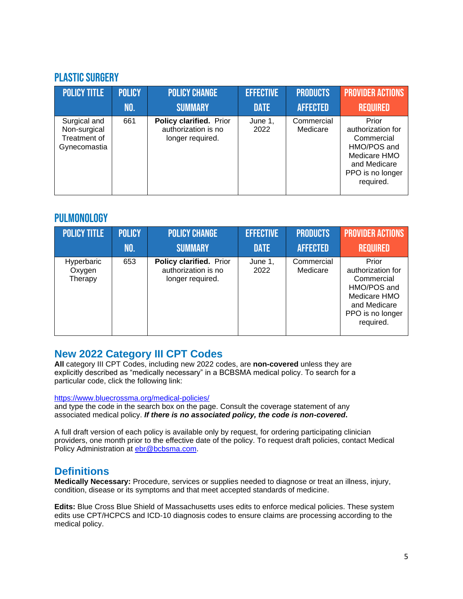#### <span id="page-4-0"></span>Plastic Surgery

| <b>POLICY TITLE</b>                                          | <b>POLICY</b> | <b>POLICY CHANGE</b>                                               | <b>EFFECTIVE</b> | <b>PRODUCTS</b>        | <b>PROVIDER ACTIONS</b>                                                                                                  |
|--------------------------------------------------------------|---------------|--------------------------------------------------------------------|------------------|------------------------|--------------------------------------------------------------------------------------------------------------------------|
|                                                              | NO.           | <b>SUMMARY</b>                                                     | <b>DATE</b>      | <b>AFFECTED</b>        | <b>REQUIRED</b>                                                                                                          |
| Surgical and<br>Non-surgical<br>Treatment of<br>Gynecomastia | 661           | Policy clarified. Prior<br>authorization is no<br>longer required. | June 1,<br>2022  | Commercial<br>Medicare | Prior<br>authorization for<br>Commercial<br>HMO/POS and<br>Medicare HMO<br>and Medicare<br>PPO is no longer<br>required. |

### <span id="page-4-1"></span>**PULMONOLOGY**

| <b>POLICY TITLE</b>             | <b>POLICY</b> | <b>POLICY CHANGE</b>                                               | <b>EFFECTIVE</b> | <b>PRODUCTS</b>        | <b>PROVIDER ACTIONS</b>                                                                                                  |
|---------------------------------|---------------|--------------------------------------------------------------------|------------------|------------------------|--------------------------------------------------------------------------------------------------------------------------|
|                                 | NO.           | <b>SUMMARY</b>                                                     | <b>DATE</b>      | <b>AFFECTED</b>        | <b>REQUIRED</b>                                                                                                          |
| Hyperbaric<br>Oxygen<br>Therapy | 653           | Policy clarified. Prior<br>authorization is no<br>longer required. | June 1,<br>2022  | Commercial<br>Medicare | Prior<br>authorization for<br>Commercial<br>HMO/POS and<br>Medicare HMO<br>and Medicare<br>PPO is no longer<br>required. |

### **New 2022 Category III CPT Codes**

**All** category III CPT Codes, including new 2022 codes, are **non-covered** unless they are explicitly described as "medically necessary" in a BCBSMA medical policy. To search for a particular code, click the following link:

#### <https://www.bluecrossma.org/medical-policies/>

and type the code in the search box on the page. Consult the coverage statement of any associated medical policy. *If there is no associated policy, the code is non-covered***.**

A full draft version of each policy is available only by request, for ordering participating clinician providers, one month prior to the effective date of the policy. To request draft policies, contact Medical Policy Administration at [ebr@bcbsma.com.](mailto:ebr@bcbsma.com)

### **Definitions**

**Medically Necessary:** Procedure, services or supplies needed to diagnose or treat an illness, injury, condition, disease or its symptoms and that meet accepted standards of medicine.

**Edits:** Blue Cross Blue Shield of Massachusetts uses edits to enforce medical policies. These system edits use CPT/HCPCS and ICD-10 diagnosis codes to ensure claims are processing according to the medical policy.